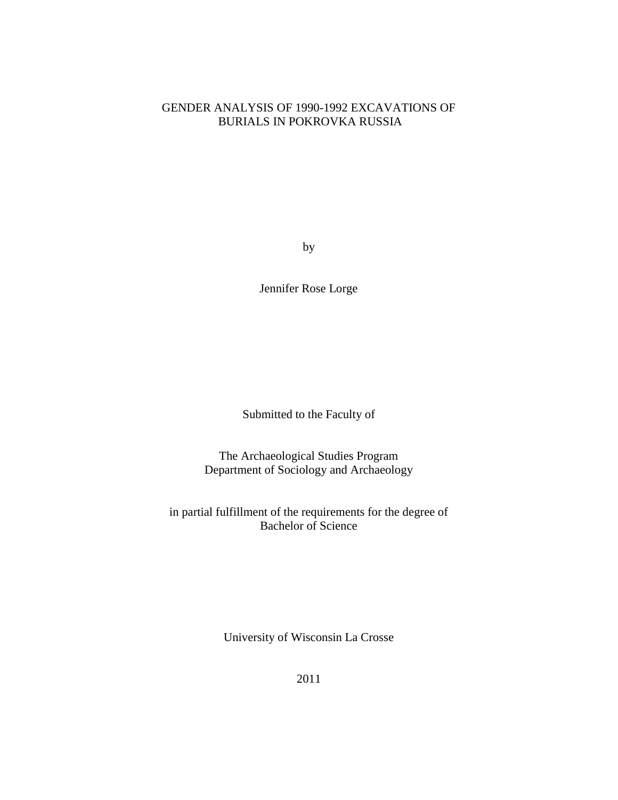# GENDER ANALYSIS OF 1990-1992 EXCAVATIONS OF BURIALS IN POKROVKA RUSSIA

by

Jennifer Rose Lorge

Submitted to the Faculty of

The Archaeological Studies Program Department of Sociology and Archaeology

in partial fulfillment of the requirements for the degree of Bachelor of Science

University of Wisconsin La Crosse

2011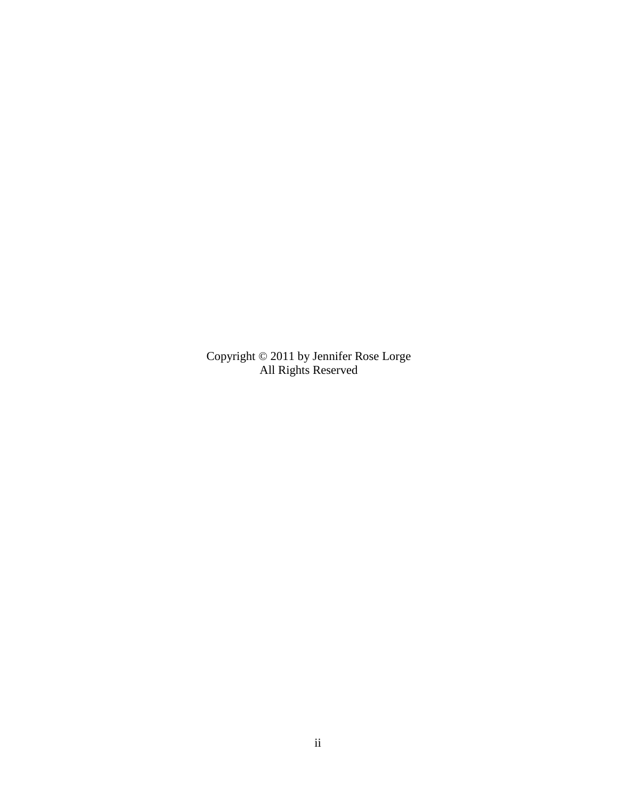Copyright © 2011 by Jennifer Rose Lorge All Rights Reserved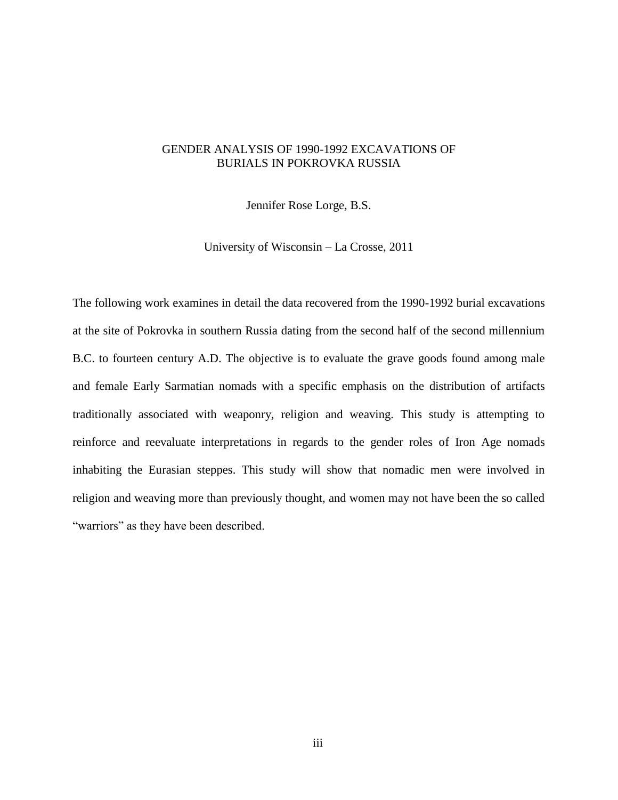# GENDER ANALYSIS OF 1990-1992 EXCAVATIONS OF BURIALS IN POKROVKA RUSSIA

Jennifer Rose Lorge, B.S.

University of Wisconsin – La Crosse, 2011

The following work examines in detail the data recovered from the 1990-1992 burial excavations at the site of Pokrovka in southern Russia dating from the second half of the second millennium B.C. to fourteen century A.D. The objective is to evaluate the grave goods found among male and female Early Sarmatian nomads with a specific emphasis on the distribution of artifacts traditionally associated with weaponry, religion and weaving. This study is attempting to reinforce and reevaluate interpretations in regards to the gender roles of Iron Age nomads inhabiting the Eurasian steppes. This study will show that nomadic men were involved in religion and weaving more than previously thought, and women may not have been the so called "warriors" as they have been described.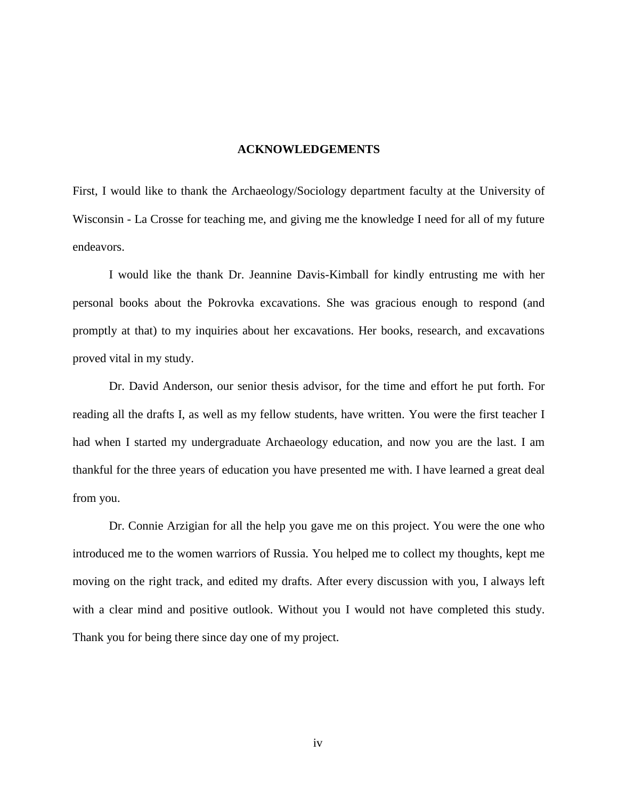### **ACKNOWLEDGEMENTS**

First, I would like to thank the Archaeology/Sociology department faculty at the University of Wisconsin - La Crosse for teaching me, and giving me the knowledge I need for all of my future endeavors.

I would like the thank Dr. Jeannine Davis-Kimball for kindly entrusting me with her personal books about the Pokrovka excavations. She was gracious enough to respond (and promptly at that) to my inquiries about her excavations. Her books, research, and excavations proved vital in my study.

Dr. David Anderson, our senior thesis advisor, for the time and effort he put forth. For reading all the drafts I, as well as my fellow students, have written. You were the first teacher I had when I started my undergraduate Archaeology education, and now you are the last. I am thankful for the three years of education you have presented me with. I have learned a great deal from you.

Dr. Connie Arzigian for all the help you gave me on this project. You were the one who introduced me to the women warriors of Russia. You helped me to collect my thoughts, kept me moving on the right track, and edited my drafts. After every discussion with you, I always left with a clear mind and positive outlook. Without you I would not have completed this study. Thank you for being there since day one of my project.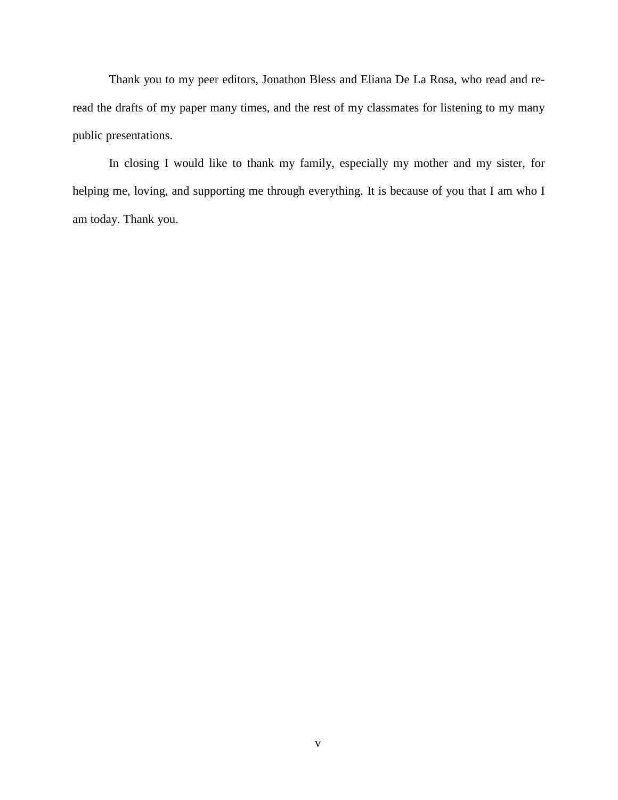Thank you to my peer editors, Jonathon Bless and Eliana De La Rosa, who read and reread the drafts of my paper many times, and the rest of my classmates for listening to my many public presentations.

In closing I would like to thank my family, especially my mother and my sister, for helping me, loving, and supporting me through everything. It is because of you that I am who I am today. Thank you.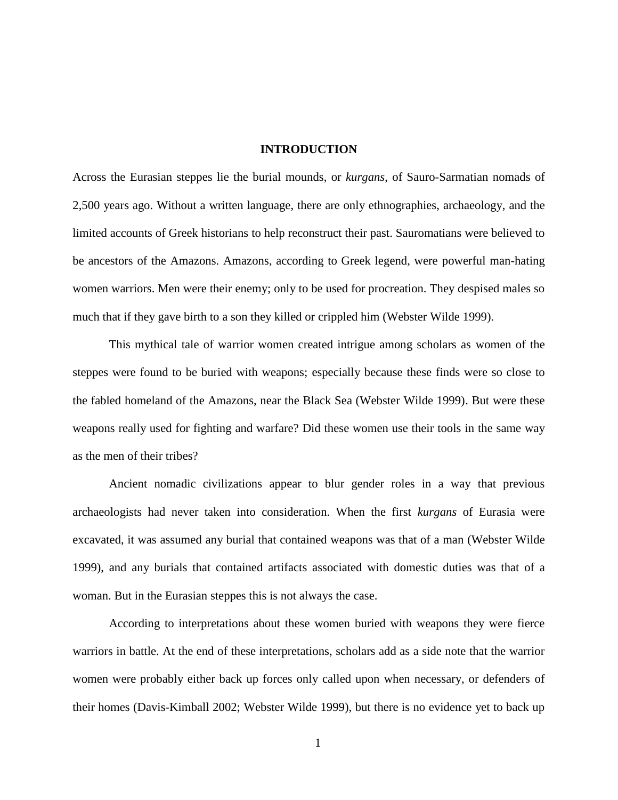#### **INTRODUCTION**

Across the Eurasian steppes lie the burial mounds, or *kurgans*, of Sauro-Sarmatian nomads of 2,500 years ago. Without a written language, there are only ethnographies, archaeology, and the limited accounts of Greek historians to help reconstruct their past. Sauromatians were believed to be ancestors of the Amazons. Amazons, according to Greek legend, were powerful man-hating women warriors. Men were their enemy; only to be used for procreation. They despised males so much that if they gave birth to a son they killed or crippled him (Webster Wilde 1999).

This mythical tale of warrior women created intrigue among scholars as women of the steppes were found to be buried with weapons; especially because these finds were so close to the fabled homeland of the Amazons, near the Black Sea (Webster Wilde 1999). But were these weapons really used for fighting and warfare? Did these women use their tools in the same way as the men of their tribes?

Ancient nomadic civilizations appear to blur gender roles in a way that previous archaeologists had never taken into consideration. When the first *kurgans* of Eurasia were excavated, it was assumed any burial that contained weapons was that of a man (Webster Wilde 1999), and any burials that contained artifacts associated with domestic duties was that of a woman. But in the Eurasian steppes this is not always the case.

According to interpretations about these women buried with weapons they were fierce warriors in battle. At the end of these interpretations, scholars add as a side note that the warrior women were probably either back up forces only called upon when necessary, or defenders of their homes (Davis-Kimball 2002; Webster Wilde 1999), but there is no evidence yet to back up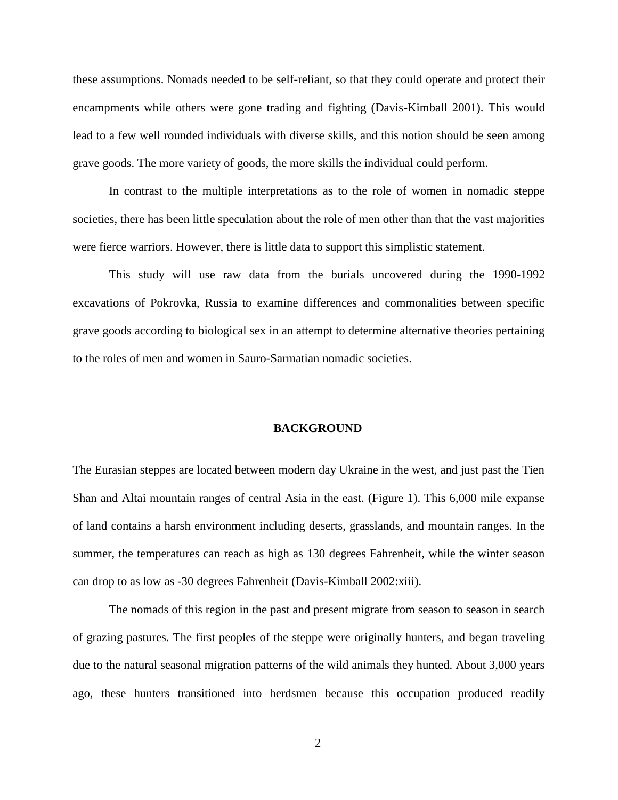these assumptions. Nomads needed to be self-reliant, so that they could operate and protect their encampments while others were gone trading and fighting (Davis-Kimball 2001). This would lead to a few well rounded individuals with diverse skills, and this notion should be seen among grave goods. The more variety of goods, the more skills the individual could perform.

In contrast to the multiple interpretations as to the role of women in nomadic steppe societies, there has been little speculation about the role of men other than that the vast majorities were fierce warriors. However, there is little data to support this simplistic statement.

This study will use raw data from the burials uncovered during the 1990-1992 excavations of Pokrovka, Russia to examine differences and commonalities between specific grave goods according to biological sex in an attempt to determine alternative theories pertaining to the roles of men and women in Sauro-Sarmatian nomadic societies.

#### **BACKGROUND**

The Eurasian steppes are located between modern day Ukraine in the west, and just past the Tien Shan and Altai mountain ranges of central Asia in the east. (Figure 1). This 6,000 mile expanse of land contains a harsh environment including deserts, grasslands, and mountain ranges. In the summer, the temperatures can reach as high as 130 degrees Fahrenheit, while the winter season can drop to as low as -30 degrees Fahrenheit (Davis-Kimball 2002:xiii).

The nomads of this region in the past and present migrate from season to season in search of grazing pastures. The first peoples of the steppe were originally hunters, and began traveling due to the natural seasonal migration patterns of the wild animals they hunted. About 3,000 years ago, these hunters transitioned into herdsmen because this occupation produced readily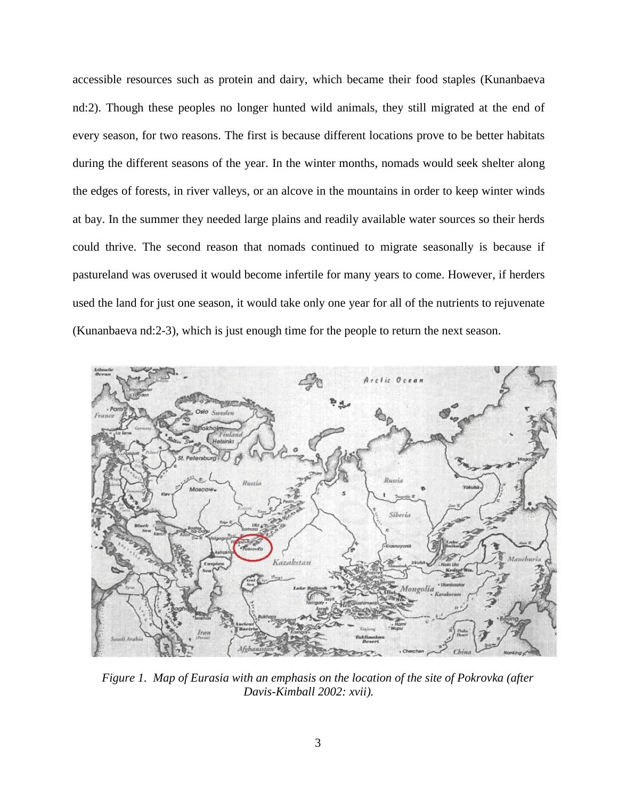accessible resources such as protein and dairy, which became their food staples (Kunanbaeva nd:2). Though these peoples no longer hunted wild animals, they still migrated at the end of every season, for two reasons. The first is because different locations prove to be better habitats during the different seasons of the year. In the winter months, nomads would seek shelter along the edges of forests, in river valleys, or an alcove in the mountains in order to keep winter winds at bay. In the summer they needed large plains and readily available water sources so their herds could thrive. The second reason that nomads continued to migrate seasonally is because if pastureland was overused it would become infertile for many years to come. However, if herders used the land for just one season, it would take only one year for all of the nutrients to rejuvenate (Kunanbaeva nd:2-3), which is just enough time for the people to return the next season.



*Figure 1. Map of Eurasia with an emphasis on the location of the site of Pokrovka (after Davis-Kimball 2002: xvii).*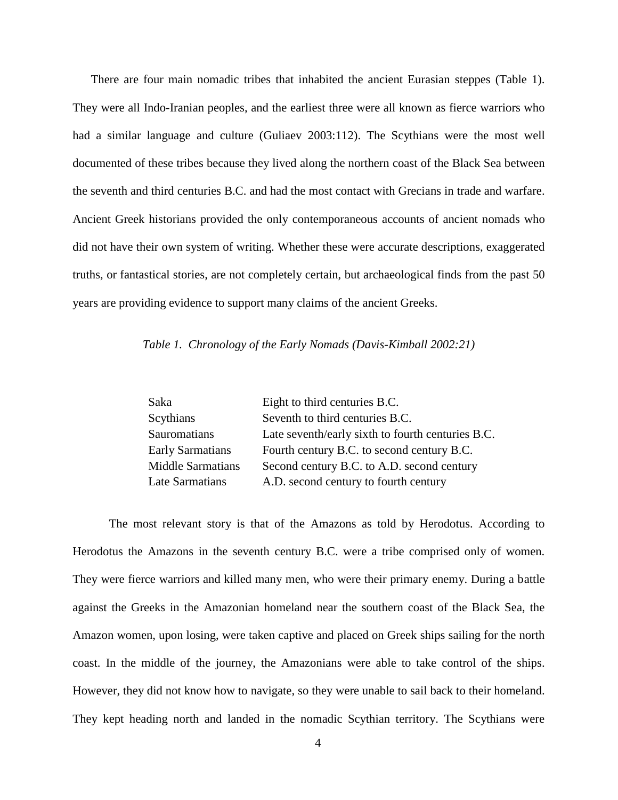There are four main nomadic tribes that inhabited the ancient Eurasian steppes (Table 1). They were all Indo-Iranian peoples, and the earliest three were all known as fierce warriors who had a similar language and culture (Guliaev 2003:112). The Scythians were the most well documented of these tribes because they lived along the northern coast of the Black Sea between the seventh and third centuries B.C. and had the most contact with Grecians in trade and warfare. Ancient Greek historians provided the only contemporaneous accounts of ancient nomads who did not have their own system of writing. Whether these were accurate descriptions, exaggerated truths, or fantastical stories, are not completely certain, but archaeological finds from the past 50 years are providing evidence to support many claims of the ancient Greeks.

### *Table 1. Chronology of the Early Nomads (Davis-Kimball 2002:21)*

| Saka                     | Eight to third centuries B.C.                     |
|--------------------------|---------------------------------------------------|
| Scythians                | Seventh to third centuries B.C.                   |
| Sauromatians             | Late seventh/early sixth to fourth centuries B.C. |
| <b>Early Sarmatians</b>  | Fourth century B.C. to second century B.C.        |
| <b>Middle Sarmatians</b> | Second century B.C. to A.D. second century        |
| Late Sarmatians          | A.D. second century to fourth century             |

The most relevant story is that of the Amazons as told by Herodotus. According to Herodotus the Amazons in the seventh century B.C. were a tribe comprised only of women. They were fierce warriors and killed many men, who were their primary enemy. During a battle against the Greeks in the Amazonian homeland near the southern coast of the Black Sea, the Amazon women, upon losing, were taken captive and placed on Greek ships sailing for the north coast. In the middle of the journey, the Amazonians were able to take control of the ships. However, they did not know how to navigate, so they were unable to sail back to their homeland. They kept heading north and landed in the nomadic Scythian territory. The Scythians were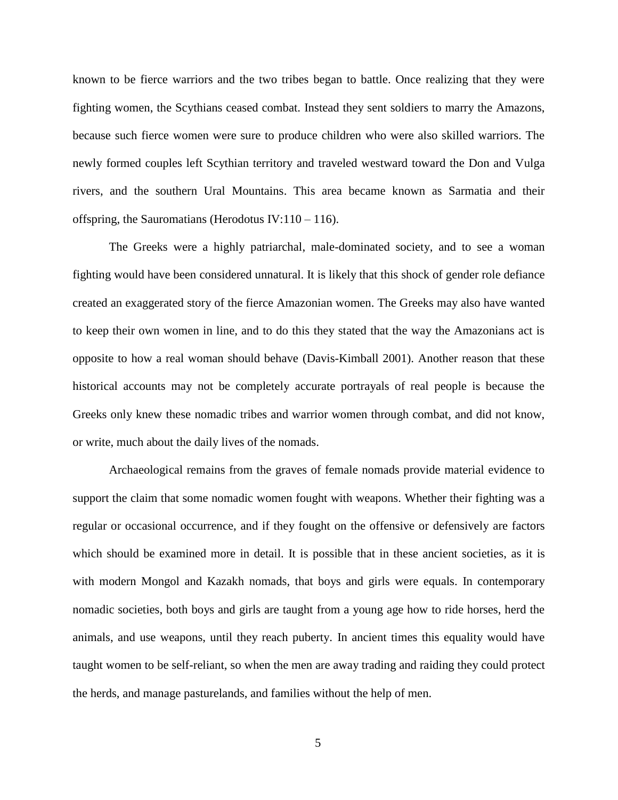known to be fierce warriors and the two tribes began to battle. Once realizing that they were fighting women, the Scythians ceased combat. Instead they sent soldiers to marry the Amazons, because such fierce women were sure to produce children who were also skilled warriors. The newly formed couples left Scythian territory and traveled westward toward the Don and Vulga rivers, and the southern Ural Mountains. This area became known as Sarmatia and their offspring, the Sauromatians (Herodotus IV: $110 - 116$ ).

The Greeks were a highly patriarchal, male-dominated society, and to see a woman fighting would have been considered unnatural. It is likely that this shock of gender role defiance created an exaggerated story of the fierce Amazonian women. The Greeks may also have wanted to keep their own women in line, and to do this they stated that the way the Amazonians act is opposite to how a real woman should behave (Davis-Kimball 2001). Another reason that these historical accounts may not be completely accurate portrayals of real people is because the Greeks only knew these nomadic tribes and warrior women through combat, and did not know, or write, much about the daily lives of the nomads.

Archaeological remains from the graves of female nomads provide material evidence to support the claim that some nomadic women fought with weapons. Whether their fighting was a regular or occasional occurrence, and if they fought on the offensive or defensively are factors which should be examined more in detail. It is possible that in these ancient societies, as it is with modern Mongol and Kazakh nomads, that boys and girls were equals. In contemporary nomadic societies, both boys and girls are taught from a young age how to ride horses, herd the animals, and use weapons, until they reach puberty. In ancient times this equality would have taught women to be self-reliant, so when the men are away trading and raiding they could protect the herds, and manage pasturelands, and families without the help of men.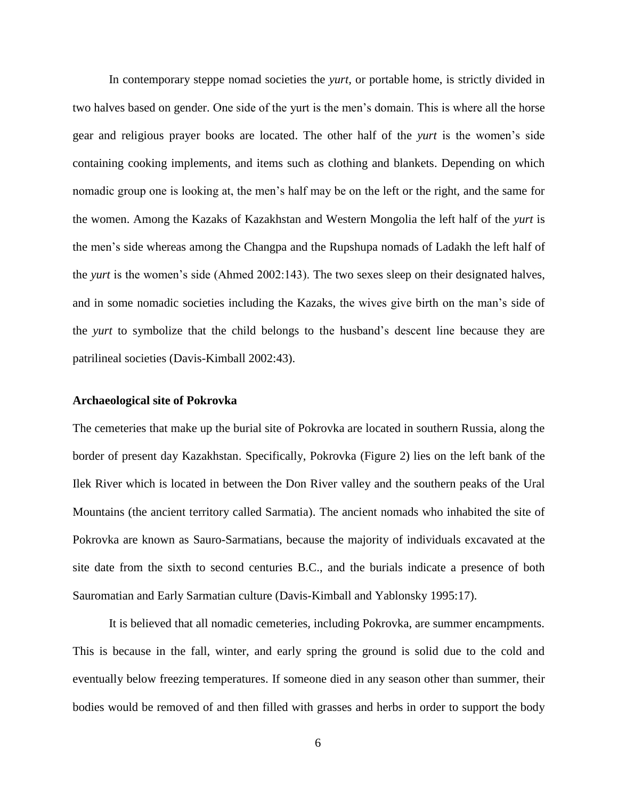In contemporary steppe nomad societies the *yurt,* or portable home, is strictly divided in two halves based on gender. One side of the yurt is the men"s domain. This is where all the horse gear and religious prayer books are located. The other half of the *yurt* is the women"s side containing cooking implements, and items such as clothing and blankets. Depending on which nomadic group one is looking at, the men"s half may be on the left or the right, and the same for the women. Among the Kazaks of Kazakhstan and Western Mongolia the left half of the *yurt* is the men"s side whereas among the Changpa and the Rupshupa nomads of Ladakh the left half of the *yurt* is the women"s side (Ahmed 2002:143). The two sexes sleep on their designated halves, and in some nomadic societies including the Kazaks, the wives give birth on the man's side of the *yurt* to symbolize that the child belongs to the husband"s descent line because they are patrilineal societies (Davis-Kimball 2002:43).

#### **Archaeological site of Pokrovka**

The cemeteries that make up the burial site of Pokrovka are located in southern Russia, along the border of present day Kazakhstan. Specifically, Pokrovka (Figure 2) lies on the left bank of the Ilek River which is located in between the Don River valley and the southern peaks of the Ural Mountains (the ancient territory called Sarmatia). The ancient nomads who inhabited the site of Pokrovka are known as Sauro-Sarmatians, because the majority of individuals excavated at the site date from the sixth to second centuries B.C., and the burials indicate a presence of both Sauromatian and Early Sarmatian culture (Davis-Kimball and Yablonsky 1995:17).

It is believed that all nomadic cemeteries, including Pokrovka, are summer encampments. This is because in the fall, winter, and early spring the ground is solid due to the cold and eventually below freezing temperatures. If someone died in any season other than summer, their bodies would be removed of and then filled with grasses and herbs in order to support the body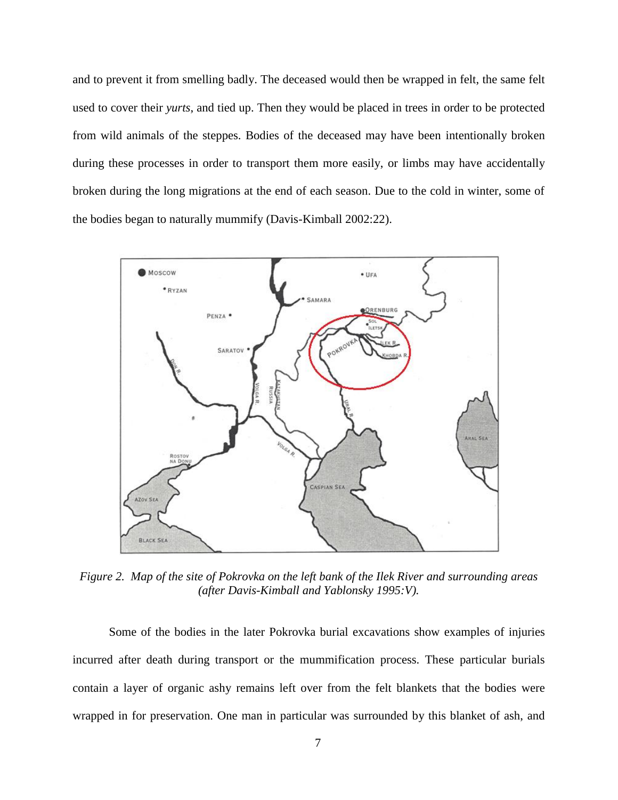and to prevent it from smelling badly. The deceased would then be wrapped in felt, the same felt used to cover their *yurts*, and tied up. Then they would be placed in trees in order to be protected from wild animals of the steppes. Bodies of the deceased may have been intentionally broken during these processes in order to transport them more easily, or limbs may have accidentally broken during the long migrations at the end of each season. Due to the cold in winter, some of the bodies began to naturally mummify (Davis-Kimball 2002:22).



*Figure 2. Map of the site of Pokrovka on the left bank of the Ilek River and surrounding areas (after Davis-Kimball and Yablonsky 1995:V).*

Some of the bodies in the later Pokrovka burial excavations show examples of injuries incurred after death during transport or the mummification process. These particular burials contain a layer of organic ashy remains left over from the felt blankets that the bodies were wrapped in for preservation. One man in particular was surrounded by this blanket of ash, and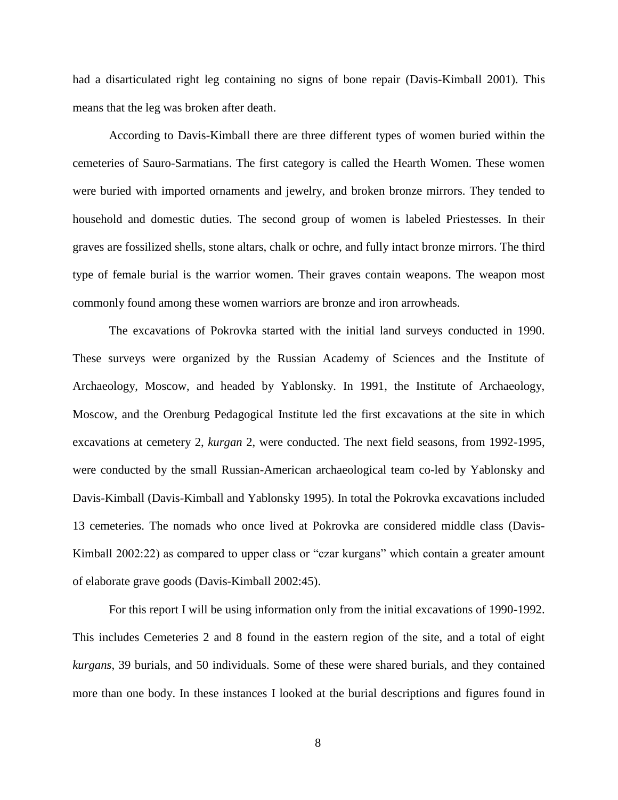had a disarticulated right leg containing no signs of bone repair (Davis-Kimball 2001). This means that the leg was broken after death.

According to Davis-Kimball there are three different types of women buried within the cemeteries of Sauro-Sarmatians. The first category is called the Hearth Women. These women were buried with imported ornaments and jewelry, and broken bronze mirrors. They tended to household and domestic duties. The second group of women is labeled Priestesses. In their graves are fossilized shells, stone altars, chalk or ochre, and fully intact bronze mirrors. The third type of female burial is the warrior women. Their graves contain weapons. The weapon most commonly found among these women warriors are bronze and iron arrowheads.

The excavations of Pokrovka started with the initial land surveys conducted in 1990. These surveys were organized by the Russian Academy of Sciences and the Institute of Archaeology, Moscow, and headed by Yablonsky. In 1991, the Institute of Archaeology, Moscow, and the Orenburg Pedagogical Institute led the first excavations at the site in which excavations at cemetery 2, *kurgan* 2, were conducted. The next field seasons, from 1992-1995, were conducted by the small Russian-American archaeological team co-led by Yablonsky and Davis-Kimball (Davis-Kimball and Yablonsky 1995). In total the Pokrovka excavations included 13 cemeteries. The nomads who once lived at Pokrovka are considered middle class (Davis-Kimball 2002:22) as compared to upper class or "czar kurgans" which contain a greater amount of elaborate grave goods (Davis-Kimball 2002:45).

For this report I will be using information only from the initial excavations of 1990-1992. This includes Cemeteries 2 and 8 found in the eastern region of the site, and a total of eight *kurgans*, 39 burials, and 50 individuals. Some of these were shared burials, and they contained more than one body. In these instances I looked at the burial descriptions and figures found in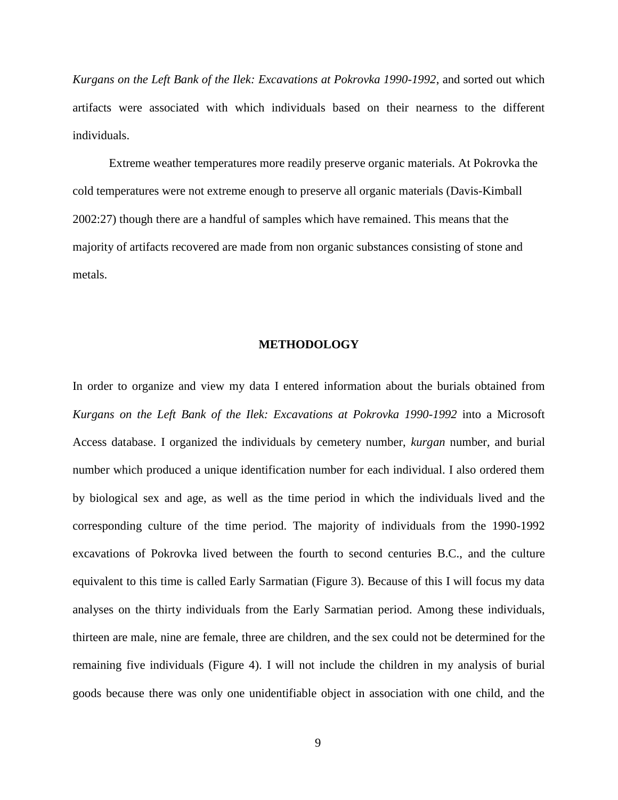*Kurgans on the Left Bank of the Ilek: Excavations at Pokrovka 1990-1992*, and sorted out which artifacts were associated with which individuals based on their nearness to the different individuals.

Extreme weather temperatures more readily preserve organic materials. At Pokrovka the cold temperatures were not extreme enough to preserve all organic materials (Davis-Kimball 2002:27) though there are a handful of samples which have remained. This means that the majority of artifacts recovered are made from non organic substances consisting of stone and metals.

#### **METHODOLOGY**

In order to organize and view my data I entered information about the burials obtained from *Kurgans on the Left Bank of the Ilek: Excavations at Pokrovka 1990-1992* into a Microsoft Access database. I organized the individuals by cemetery number, *kurgan* number, and burial number which produced a unique identification number for each individual. I also ordered them by biological sex and age, as well as the time period in which the individuals lived and the corresponding culture of the time period. The majority of individuals from the 1990-1992 excavations of Pokrovka lived between the fourth to second centuries B.C., and the culture equivalent to this time is called Early Sarmatian (Figure 3). Because of this I will focus my data analyses on the thirty individuals from the Early Sarmatian period. Among these individuals, thirteen are male, nine are female, three are children, and the sex could not be determined for the remaining five individuals (Figure 4). I will not include the children in my analysis of burial goods because there was only one unidentifiable object in association with one child, and the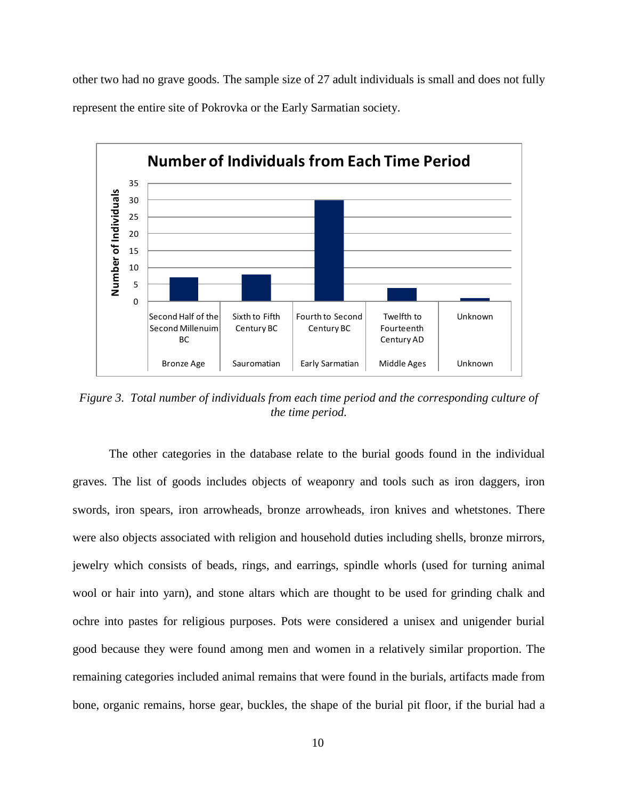other two had no grave goods. The sample size of 27 adult individuals is small and does not fully represent the entire site of Pokrovka or the Early Sarmatian society.



*Figure 3. Total number of individuals from each time period and the corresponding culture of the time period.*

The other categories in the database relate to the burial goods found in the individual graves. The list of goods includes objects of weaponry and tools such as iron daggers, iron swords, iron spears, iron arrowheads, bronze arrowheads, iron knives and whetstones. There were also objects associated with religion and household duties including shells, bronze mirrors, jewelry which consists of beads, rings, and earrings, spindle whorls (used for turning animal wool or hair into yarn), and stone altars which are thought to be used for grinding chalk and ochre into pastes for religious purposes. Pots were considered a unisex and unigender burial good because they were found among men and women in a relatively similar proportion. The remaining categories included animal remains that were found in the burials, artifacts made from bone, organic remains, horse gear, buckles, the shape of the burial pit floor, if the burial had a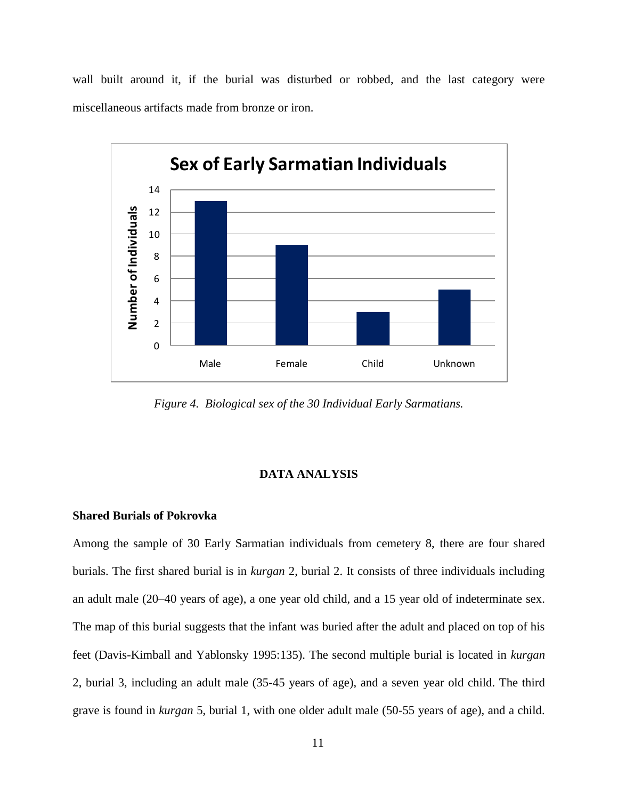wall built around it, if the burial was disturbed or robbed, and the last category were miscellaneous artifacts made from bronze or iron.



*Figure 4. Biological sex of the 30 Individual Early Sarmatians.*

### **DATA ANALYSIS**

#### **Shared Burials of Pokrovka**

Among the sample of 30 Early Sarmatian individuals from cemetery 8, there are four shared burials. The first shared burial is in *kurgan* 2, burial 2. It consists of three individuals including an adult male (20–40 years of age), a one year old child, and a 15 year old of indeterminate sex. The map of this burial suggests that the infant was buried after the adult and placed on top of his feet (Davis-Kimball and Yablonsky 1995:135). The second multiple burial is located in *kurgan* 2, burial 3, including an adult male (35-45 years of age), and a seven year old child. The third grave is found in *kurgan* 5, burial 1, with one older adult male (50-55 years of age), and a child.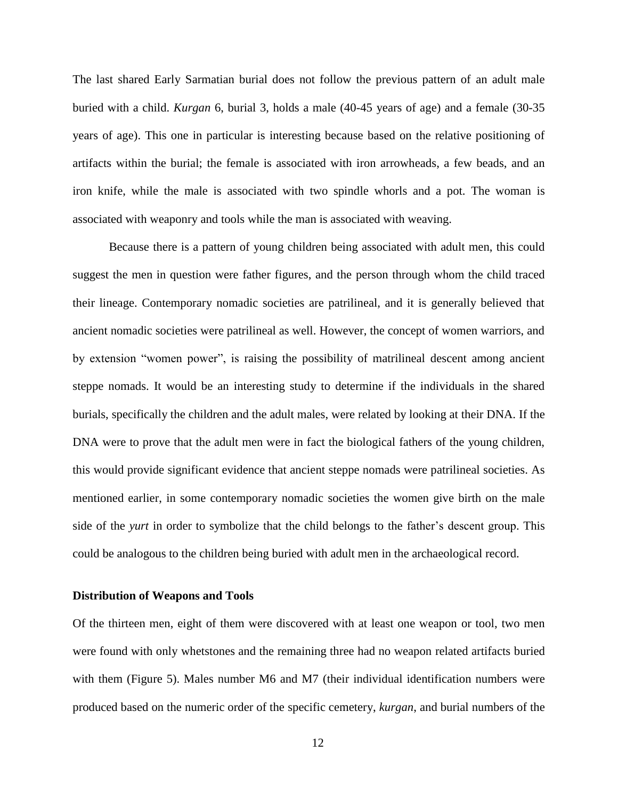The last shared Early Sarmatian burial does not follow the previous pattern of an adult male buried with a child. *Kurgan* 6, burial 3, holds a male (40-45 years of age) and a female (30-35 years of age). This one in particular is interesting because based on the relative positioning of artifacts within the burial; the female is associated with iron arrowheads, a few beads, and an iron knife, while the male is associated with two spindle whorls and a pot. The woman is associated with weaponry and tools while the man is associated with weaving.

Because there is a pattern of young children being associated with adult men, this could suggest the men in question were father figures, and the person through whom the child traced their lineage. Contemporary nomadic societies are patrilineal, and it is generally believed that ancient nomadic societies were patrilineal as well. However, the concept of women warriors, and by extension "women power", is raising the possibility of matrilineal descent among ancient steppe nomads. It would be an interesting study to determine if the individuals in the shared burials, specifically the children and the adult males, were related by looking at their DNA. If the DNA were to prove that the adult men were in fact the biological fathers of the young children, this would provide significant evidence that ancient steppe nomads were patrilineal societies. As mentioned earlier, in some contemporary nomadic societies the women give birth on the male side of the *yurt* in order to symbolize that the child belongs to the father's descent group. This could be analogous to the children being buried with adult men in the archaeological record.

#### **Distribution of Weapons and Tools**

Of the thirteen men, eight of them were discovered with at least one weapon or tool, two men were found with only whetstones and the remaining three had no weapon related artifacts buried with them (Figure 5). Males number M6 and M7 (their individual identification numbers were produced based on the numeric order of the specific cemetery, *kurgan*, and burial numbers of the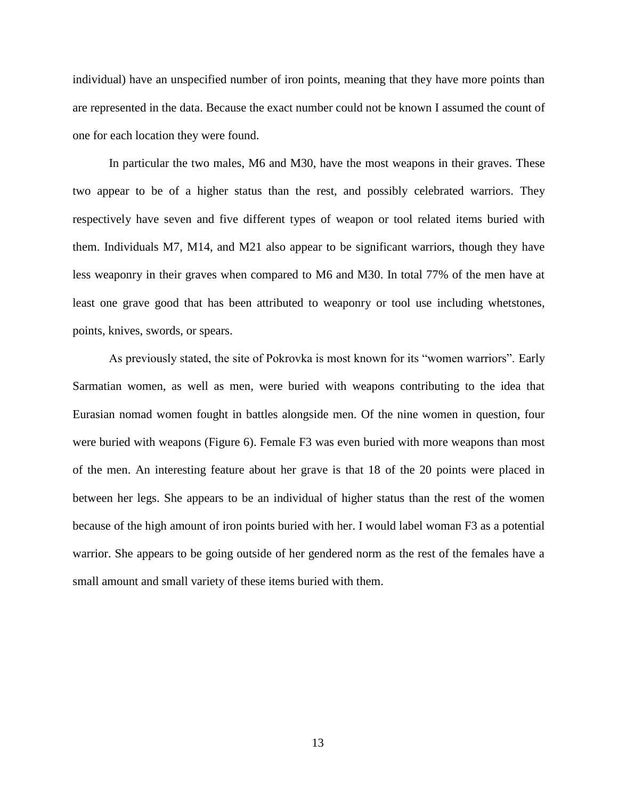individual) have an unspecified number of iron points, meaning that they have more points than are represented in the data. Because the exact number could not be known I assumed the count of one for each location they were found.

In particular the two males, M6 and M30, have the most weapons in their graves. These two appear to be of a higher status than the rest, and possibly celebrated warriors. They respectively have seven and five different types of weapon or tool related items buried with them. Individuals M7, M14, and M21 also appear to be significant warriors, though they have less weaponry in their graves when compared to M6 and M30. In total 77% of the men have at least one grave good that has been attributed to weaponry or tool use including whetstones, points, knives, swords, or spears.

As previously stated, the site of Pokrovka is most known for its "women warriors". Early Sarmatian women, as well as men, were buried with weapons contributing to the idea that Eurasian nomad women fought in battles alongside men. Of the nine women in question, four were buried with weapons (Figure 6). Female F3 was even buried with more weapons than most of the men. An interesting feature about her grave is that 18 of the 20 points were placed in between her legs. She appears to be an individual of higher status than the rest of the women because of the high amount of iron points buried with her. I would label woman F3 as a potential warrior. She appears to be going outside of her gendered norm as the rest of the females have a small amount and small variety of these items buried with them.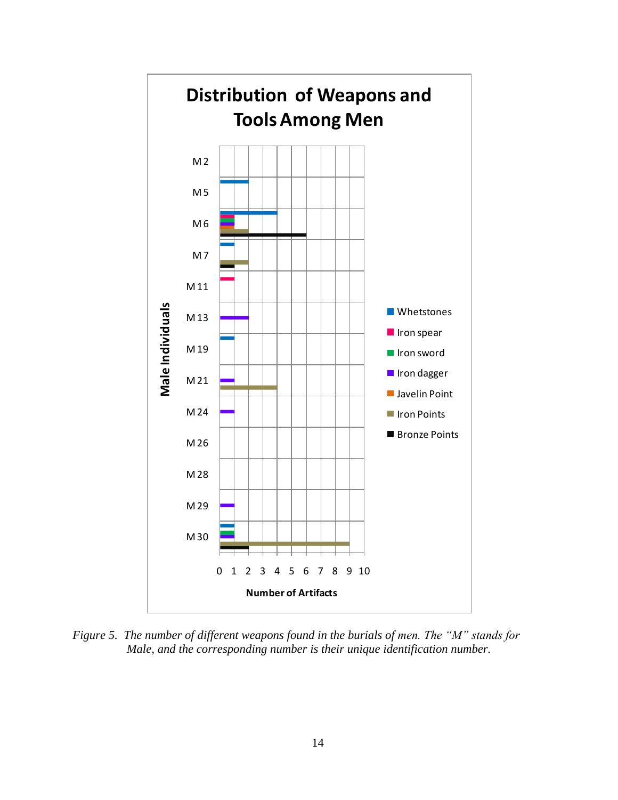

*Figure 5. The number of different weapons found in the burials of men. The "M" stands for Male, and the corresponding number is their unique identification number.*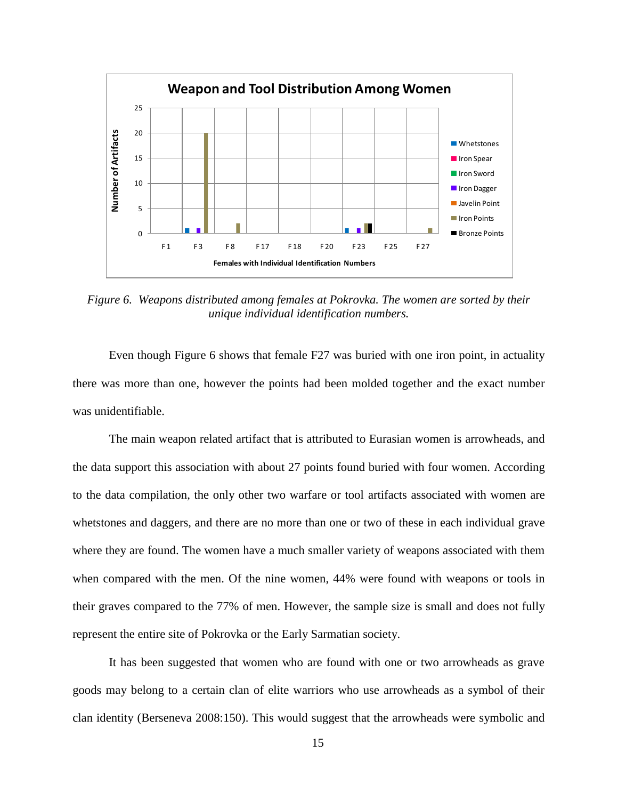

*Figure 6. Weapons distributed among females at Pokrovka. The women are sorted by their unique individual identification numbers.*

Even though Figure 6 shows that female F27 was buried with one iron point, in actuality there was more than one, however the points had been molded together and the exact number was unidentifiable.

The main weapon related artifact that is attributed to Eurasian women is arrowheads, and the data support this association with about 27 points found buried with four women. According to the data compilation, the only other two warfare or tool artifacts associated with women are whetstones and daggers, and there are no more than one or two of these in each individual grave where they are found. The women have a much smaller variety of weapons associated with them when compared with the men. Of the nine women, 44% were found with weapons or tools in their graves compared to the 77% of men. However, the sample size is small and does not fully represent the entire site of Pokrovka or the Early Sarmatian society.

It has been suggested that women who are found with one or two arrowheads as grave goods may belong to a certain clan of elite warriors who use arrowheads as a symbol of their clan identity (Berseneva 2008:150). This would suggest that the arrowheads were symbolic and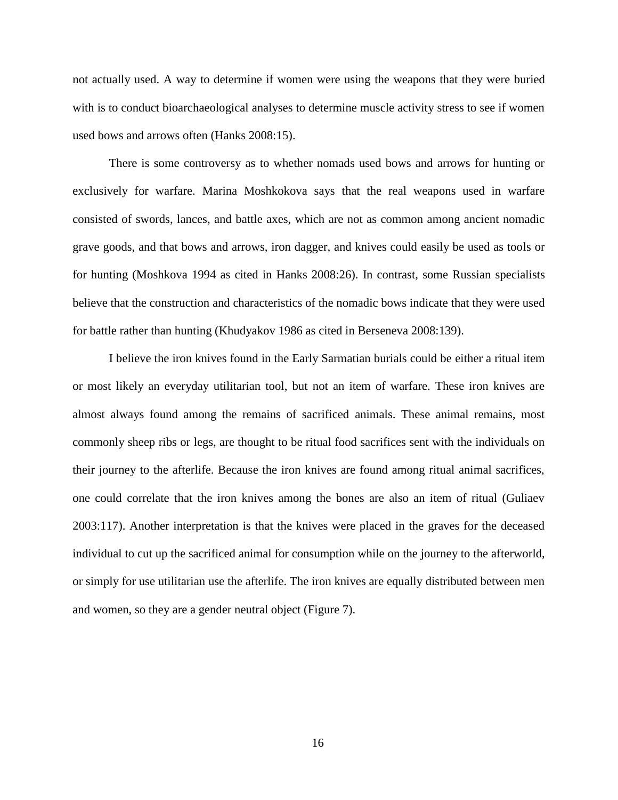not actually used. A way to determine if women were using the weapons that they were buried with is to conduct bioarchaeological analyses to determine muscle activity stress to see if women used bows and arrows often (Hanks 2008:15).

There is some controversy as to whether nomads used bows and arrows for hunting or exclusively for warfare. Marina Moshkokova says that the real weapons used in warfare consisted of swords, lances, and battle axes, which are not as common among ancient nomadic grave goods, and that bows and arrows, iron dagger, and knives could easily be used as tools or for hunting (Moshkova 1994 as cited in Hanks 2008:26). In contrast, some Russian specialists believe that the construction and characteristics of the nomadic bows indicate that they were used for battle rather than hunting (Khudyakov 1986 as cited in Berseneva 2008:139).

I believe the iron knives found in the Early Sarmatian burials could be either a ritual item or most likely an everyday utilitarian tool, but not an item of warfare. These iron knives are almost always found among the remains of sacrificed animals. These animal remains, most commonly sheep ribs or legs, are thought to be ritual food sacrifices sent with the individuals on their journey to the afterlife. Because the iron knives are found among ritual animal sacrifices, one could correlate that the iron knives among the bones are also an item of ritual (Guliaev 2003:117). Another interpretation is that the knives were placed in the graves for the deceased individual to cut up the sacrificed animal for consumption while on the journey to the afterworld, or simply for use utilitarian use the afterlife. The iron knives are equally distributed between men and women, so they are a gender neutral object (Figure 7).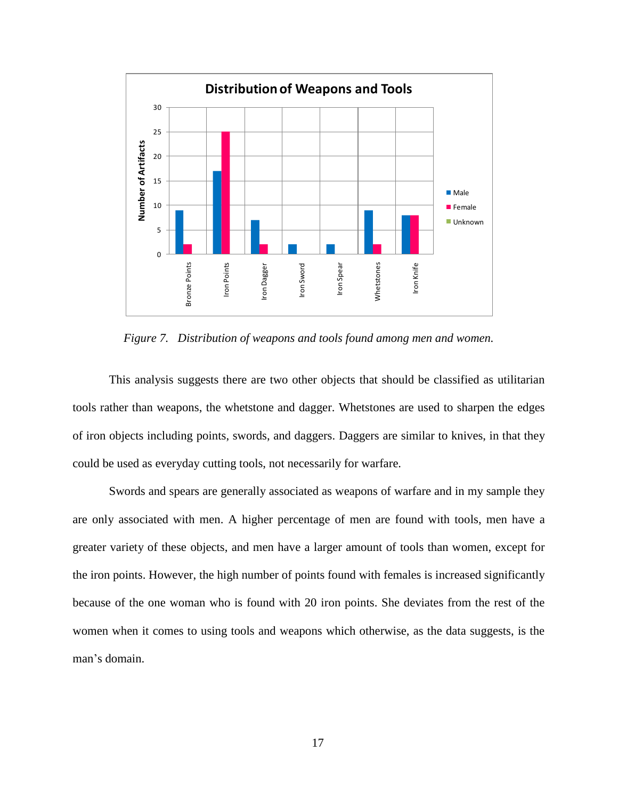

*Figure 7. Distribution of weapons and tools found among men and women.*

This analysis suggests there are two other objects that should be classified as utilitarian tools rather than weapons, the whetstone and dagger. Whetstones are used to sharpen the edges of iron objects including points, swords, and daggers. Daggers are similar to knives, in that they could be used as everyday cutting tools, not necessarily for warfare.

Swords and spears are generally associated as weapons of warfare and in my sample they are only associated with men. A higher percentage of men are found with tools, men have a greater variety of these objects, and men have a larger amount of tools than women, except for the iron points. However, the high number of points found with females is increased significantly because of the one woman who is found with 20 iron points. She deviates from the rest of the women when it comes to using tools and weapons which otherwise, as the data suggests, is the man"s domain.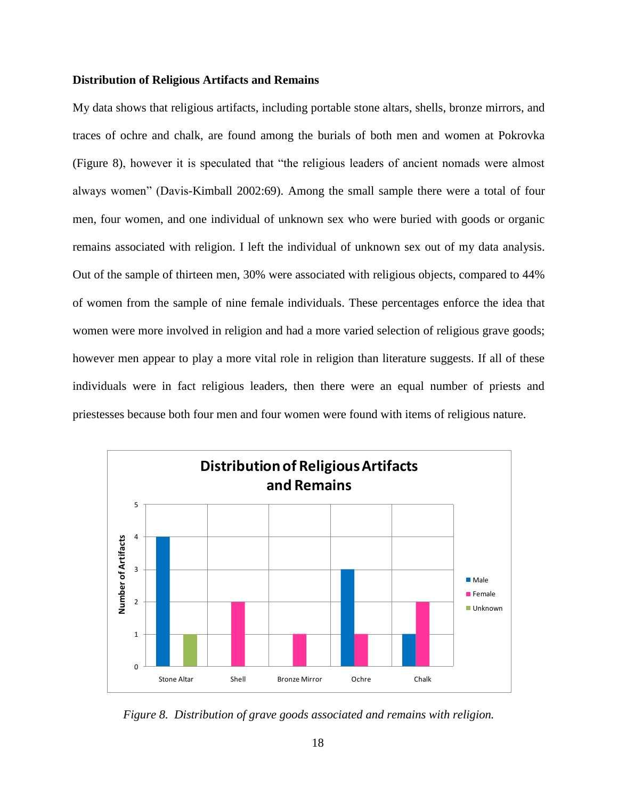### **Distribution of Religious Artifacts and Remains**

My data shows that religious artifacts, including portable stone altars, shells, bronze mirrors, and traces of ochre and chalk, are found among the burials of both men and women at Pokrovka (Figure 8), however it is speculated that "the religious leaders of ancient nomads were almost always women" (Davis-Kimball 2002:69). Among the small sample there were a total of four men, four women, and one individual of unknown sex who were buried with goods or organic remains associated with religion. I left the individual of unknown sex out of my data analysis. Out of the sample of thirteen men, 30% were associated with religious objects, compared to 44% of women from the sample of nine female individuals. These percentages enforce the idea that women were more involved in religion and had a more varied selection of religious grave goods; however men appear to play a more vital role in religion than literature suggests. If all of these individuals were in fact religious leaders, then there were an equal number of priests and priestesses because both four men and four women were found with items of religious nature.



*Figure 8. Distribution of grave goods associated and remains with religion.*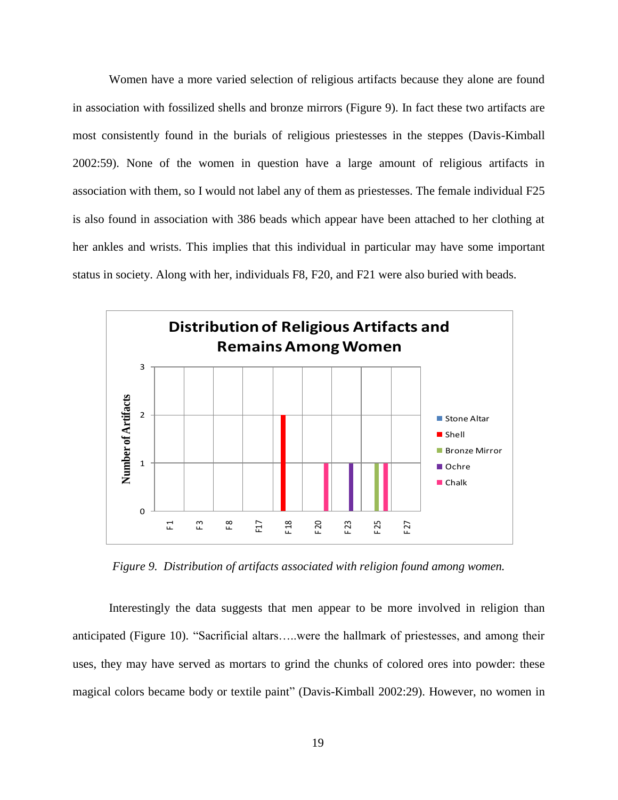Women have a more varied selection of religious artifacts because they alone are found in association with fossilized shells and bronze mirrors (Figure 9). In fact these two artifacts are most consistently found in the burials of religious priestesses in the steppes (Davis-Kimball 2002:59). None of the women in question have a large amount of religious artifacts in association with them, so I would not label any of them as priestesses. The female individual F25 is also found in association with 386 beads which appear have been attached to her clothing at her ankles and wrists. This implies that this individual in particular may have some important status in society. Along with her, individuals F8, F20, and F21 were also buried with beads.



*Figure 9. Distribution of artifacts associated with religion found among women.*

Interestingly the data suggests that men appear to be more involved in religion than anticipated (Figure 10). "Sacrificial altars…..were the hallmark of priestesses, and among their uses, they may have served as mortars to grind the chunks of colored ores into powder: these magical colors became body or textile paint" (Davis-Kimball 2002:29). However, no women in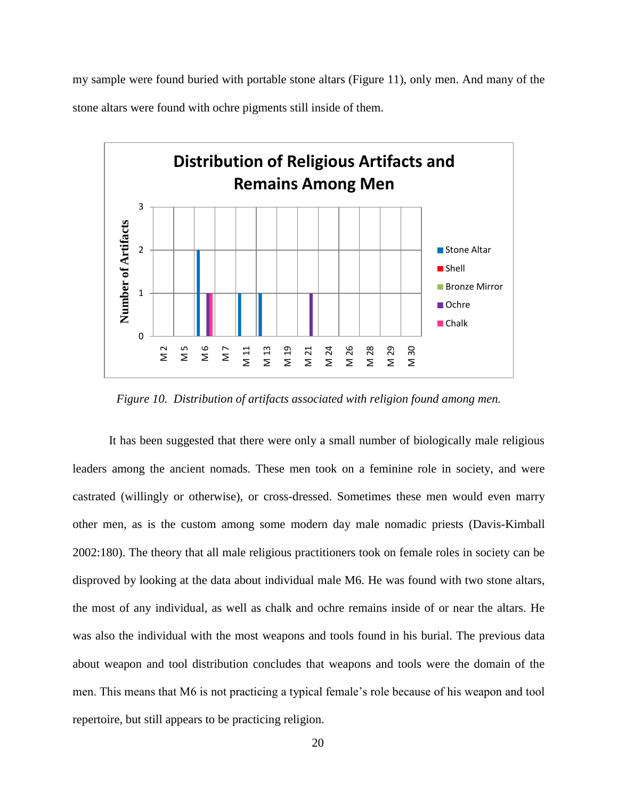my sample were found buried with portable stone altars (Figure 11), only men. And many of the stone altars were found with ochre pigments still inside of them.



*Figure 10. Distribution of artifacts associated with religion found among men.*

It has been suggested that there were only a small number of biologically male religious leaders among the ancient nomads. These men took on a feminine role in society, and were castrated (willingly or otherwise), or cross-dressed. Sometimes these men would even marry other men, as is the custom among some modern day male nomadic priests (Davis-Kimball 2002:180). The theory that all male religious practitioners took on female roles in society can be disproved by looking at the data about individual male M6. He was found with two stone altars, the most of any individual, as well as chalk and ochre remains inside of or near the altars. He was also the individual with the most weapons and tools found in his burial. The previous data about weapon and tool distribution concludes that weapons and tools were the domain of the men. This means that M6 is not practicing a typical female"s role because of his weapon and tool repertoire, but still appears to be practicing religion.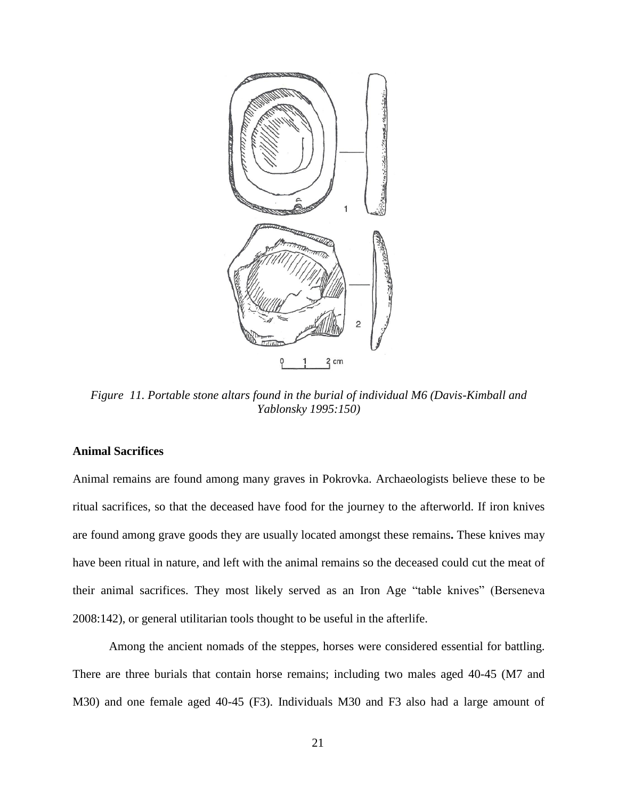

*Figure 11. Portable stone altars found in the burial of individual M6 (Davis-Kimball and Yablonsky 1995:150)*

# **Animal Sacrifices**

Animal remains are found among many graves in Pokrovka. Archaeologists believe these to be ritual sacrifices, so that the deceased have food for the journey to the afterworld. If iron knives are found among grave goods they are usually located amongst these remains**.** These knives may have been ritual in nature, and left with the animal remains so the deceased could cut the meat of their animal sacrifices. They most likely served as an Iron Age "table knives" (Berseneva 2008:142), or general utilitarian tools thought to be useful in the afterlife.

Among the ancient nomads of the steppes, horses were considered essential for battling. There are three burials that contain horse remains; including two males aged 40-45 (M7 and M30) and one female aged 40-45 (F3). Individuals M30 and F3 also had a large amount of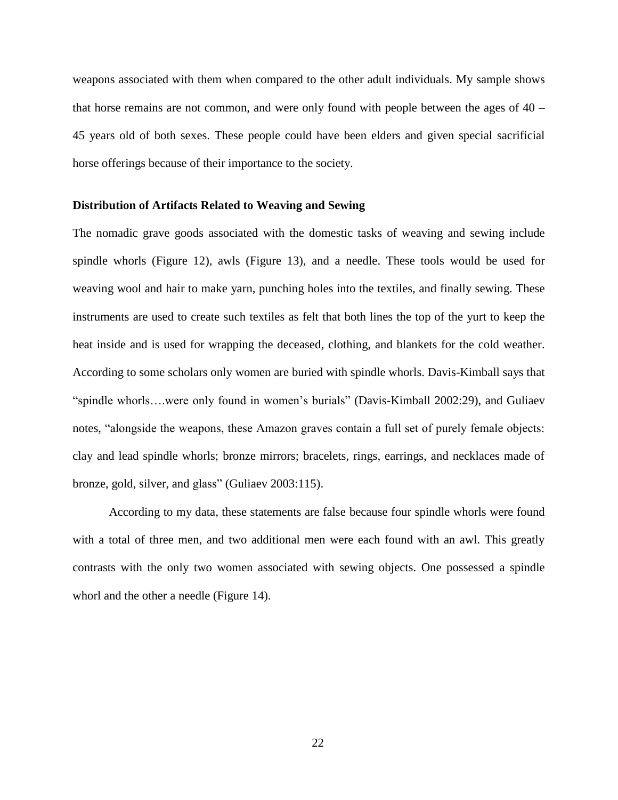weapons associated with them when compared to the other adult individuals. My sample shows that horse remains are not common, and were only found with people between the ages of 40 – 45 years old of both sexes. These people could have been elders and given special sacrificial horse offerings because of their importance to the society.

#### **Distribution of Artifacts Related to Weaving and Sewing**

The nomadic grave goods associated with the domestic tasks of weaving and sewing include spindle whorls (Figure 12), awls (Figure 13), and a needle. These tools would be used for weaving wool and hair to make yarn, punching holes into the textiles, and finally sewing. These instruments are used to create such textiles as felt that both lines the top of the yurt to keep the heat inside and is used for wrapping the deceased, clothing, and blankets for the cold weather. According to some scholars only women are buried with spindle whorls. Davis-Kimball says that "spindle whorls….were only found in women"s burials" (Davis-Kimball 2002:29), and Guliaev notes, "alongside the weapons, these Amazon graves contain a full set of purely female objects: clay and lead spindle whorls; bronze mirrors; bracelets, rings, earrings, and necklaces made of bronze, gold, silver, and glass" (Guliaev 2003:115).

According to my data, these statements are false because four spindle whorls were found with a total of three men, and two additional men were each found with an awl. This greatly contrasts with the only two women associated with sewing objects. One possessed a spindle whorl and the other a needle (Figure 14).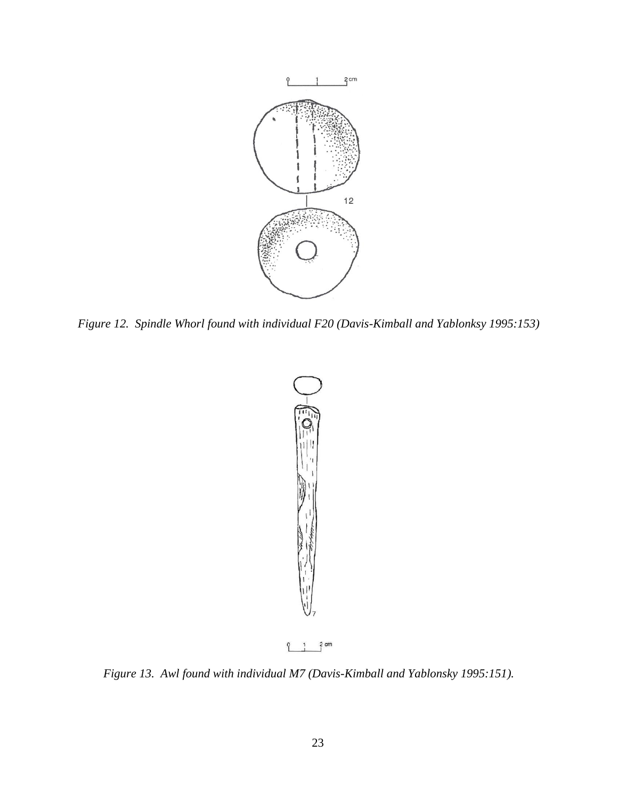

*Figure 12. Spindle Whorl found with individual F20 (Davis-Kimball and Yablonksy 1995:153)*



*Figure 13. Awl found with individual M7 (Davis-Kimball and Yablonsky 1995:151).*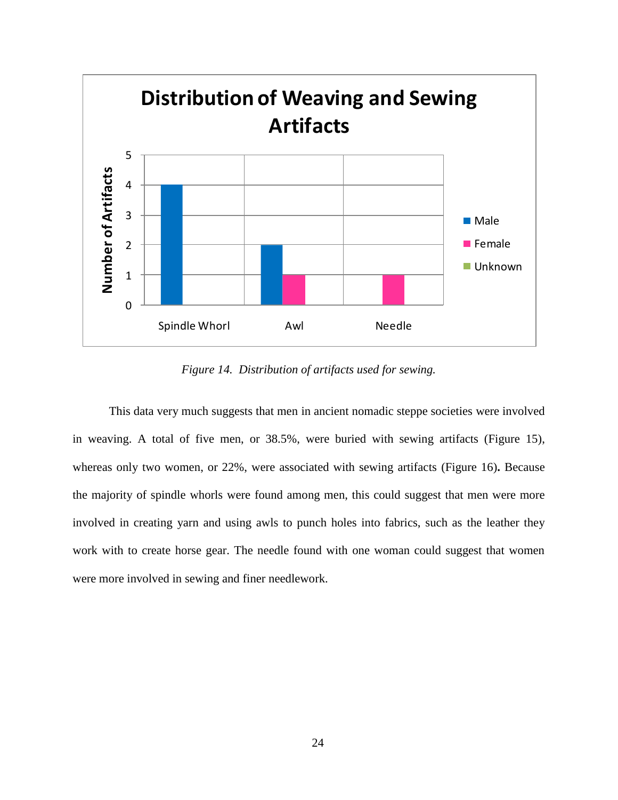

*Figure 14. Distribution of artifacts used for sewing.*

This data very much suggests that men in ancient nomadic steppe societies were involved in weaving. A total of five men, or 38.5%, were buried with sewing artifacts (Figure 15), whereas only two women, or 22%, were associated with sewing artifacts (Figure 16)**.** Because the majority of spindle whorls were found among men, this could suggest that men were more involved in creating yarn and using awls to punch holes into fabrics, such as the leather they work with to create horse gear. The needle found with one woman could suggest that women were more involved in sewing and finer needlework.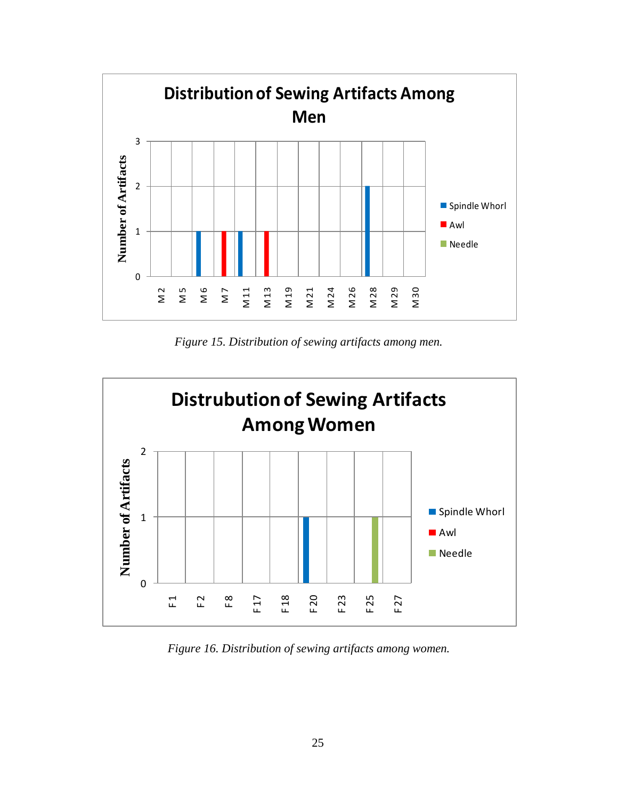

*Figure 15. Distribution of sewing artifacts among men.*



*Figure 16. Distribution of sewing artifacts among women.*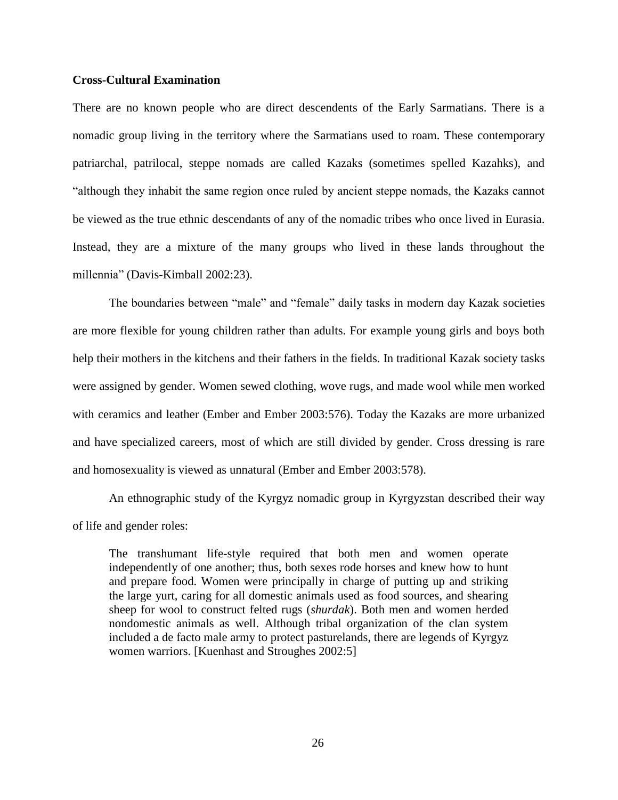# **Cross-Cultural Examination**

There are no known people who are direct descendents of the Early Sarmatians. There is a nomadic group living in the territory where the Sarmatians used to roam. These contemporary patriarchal, patrilocal, steppe nomads are called Kazaks (sometimes spelled Kazahks), and "although they inhabit the same region once ruled by ancient steppe nomads, the Kazaks cannot be viewed as the true ethnic descendants of any of the nomadic tribes who once lived in Eurasia. Instead, they are a mixture of the many groups who lived in these lands throughout the millennia" (Davis-Kimball 2002:23).

The boundaries between "male" and "female" daily tasks in modern day Kazak societies are more flexible for young children rather than adults. For example young girls and boys both help their mothers in the kitchens and their fathers in the fields. In traditional Kazak society tasks were assigned by gender. Women sewed clothing, wove rugs, and made wool while men worked with ceramics and leather (Ember and Ember 2003:576). Today the Kazaks are more urbanized and have specialized careers, most of which are still divided by gender. Cross dressing is rare and homosexuality is viewed as unnatural (Ember and Ember 2003:578).

An ethnographic study of the Kyrgyz nomadic group in Kyrgyzstan described their way of life and gender roles:

The transhumant life-style required that both men and women operate independently of one another; thus, both sexes rode horses and knew how to hunt and prepare food. Women were principally in charge of putting up and striking the large yurt, caring for all domestic animals used as food sources, and shearing sheep for wool to construct felted rugs (*shurdak*). Both men and women herded nondomestic animals as well. Although tribal organization of the clan system included a de facto male army to protect pasturelands, there are legends of Kyrgyz women warriors. [Kuenhast and Stroughes 2002:5]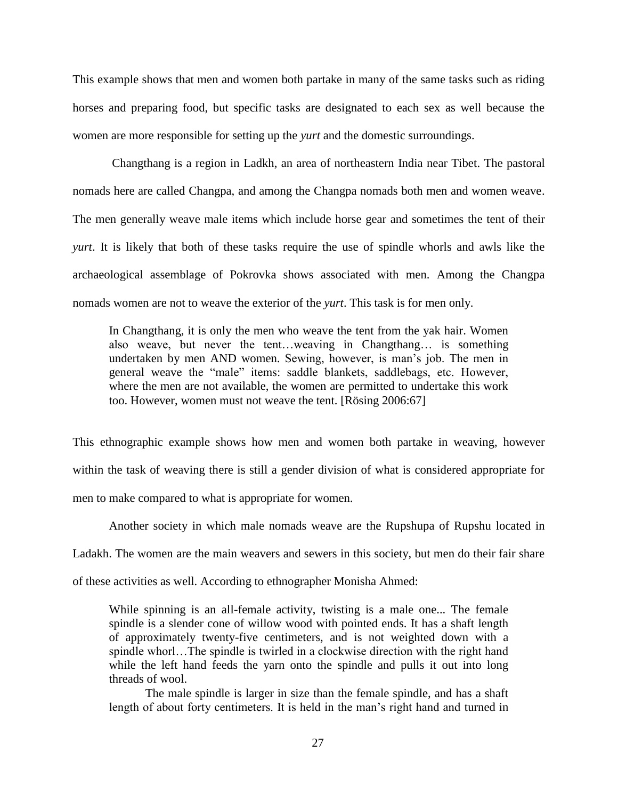This example shows that men and women both partake in many of the same tasks such as riding horses and preparing food, but specific tasks are designated to each sex as well because the women are more responsible for setting up the *yurt* and the domestic surroundings.

Changthang is a region in Ladkh, an area of northeastern India near Tibet. The pastoral nomads here are called Changpa, and among the Changpa nomads both men and women weave. The men generally weave male items which include horse gear and sometimes the tent of their *yurt*. It is likely that both of these tasks require the use of spindle whorls and awls like the archaeological assemblage of Pokrovka shows associated with men. Among the Changpa nomads women are not to weave the exterior of the *yurt*. This task is for men only.

In Changthang, it is only the men who weave the tent from the yak hair. Women also weave, but never the tent…weaving in Changthang… is something undertaken by men AND women. Sewing, however, is man"s job. The men in general weave the "male" items: saddle blankets, saddlebags, etc. However, where the men are not available, the women are permitted to undertake this work too. However, women must not weave the tent. [Rösing 2006:67]

This ethnographic example shows how men and women both partake in weaving, however within the task of weaving there is still a gender division of what is considered appropriate for men to make compared to what is appropriate for women.

Another society in which male nomads weave are the Rupshupa of Rupshu located in Ladakh. The women are the main weavers and sewers in this society, but men do their fair share

of these activities as well. According to ethnographer Monisha Ahmed:

While spinning is an all-female activity, twisting is a male one... The female spindle is a slender cone of willow wood with pointed ends. It has a shaft length of approximately twenty-five centimeters, and is not weighted down with a spindle whorl…The spindle is twirled in a clockwise direction with the right hand while the left hand feeds the yarn onto the spindle and pulls it out into long threads of wool.

The male spindle is larger in size than the female spindle, and has a shaft length of about forty centimeters. It is held in the man"s right hand and turned in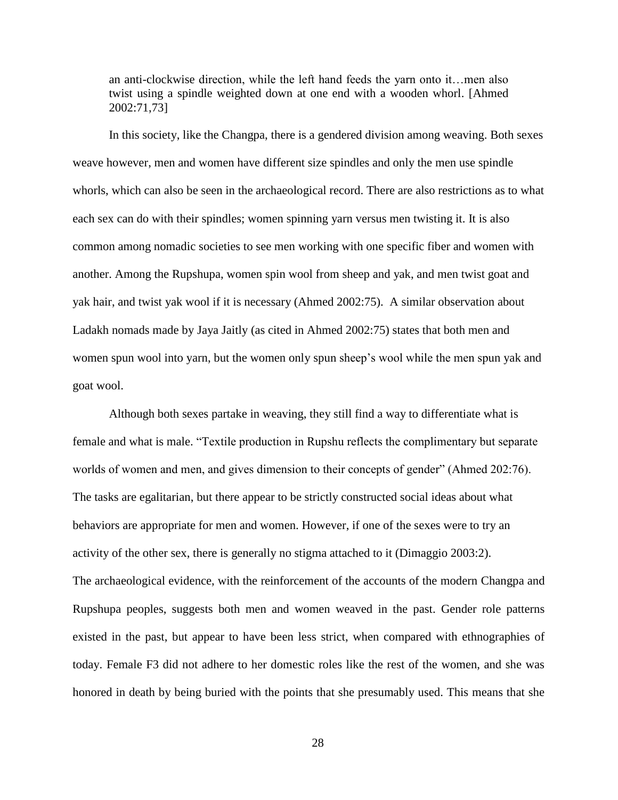an anti-clockwise direction, while the left hand feeds the yarn onto it…men also twist using a spindle weighted down at one end with a wooden whorl. [Ahmed 2002:71,73]

In this society, like the Changpa, there is a gendered division among weaving. Both sexes weave however, men and women have different size spindles and only the men use spindle whorls, which can also be seen in the archaeological record. There are also restrictions as to what each sex can do with their spindles; women spinning yarn versus men twisting it. It is also common among nomadic societies to see men working with one specific fiber and women with another. Among the Rupshupa, women spin wool from sheep and yak, and men twist goat and yak hair, and twist yak wool if it is necessary (Ahmed 2002:75). A similar observation about Ladakh nomads made by Jaya Jaitly (as cited in Ahmed 2002:75) states that both men and women spun wool into yarn, but the women only spun sheep"s wool while the men spun yak and goat wool.

Although both sexes partake in weaving, they still find a way to differentiate what is female and what is male. "Textile production in Rupshu reflects the complimentary but separate worlds of women and men, and gives dimension to their concepts of gender" (Ahmed 202:76). The tasks are egalitarian, but there appear to be strictly constructed social ideas about what behaviors are appropriate for men and women. However, if one of the sexes were to try an activity of the other sex, there is generally no stigma attached to it (Dimaggio 2003:2). The archaeological evidence, with the reinforcement of the accounts of the modern Changpa and Rupshupa peoples, suggests both men and women weaved in the past. Gender role patterns existed in the past, but appear to have been less strict, when compared with ethnographies of today. Female F3 did not adhere to her domestic roles like the rest of the women, and she was honored in death by being buried with the points that she presumably used. This means that she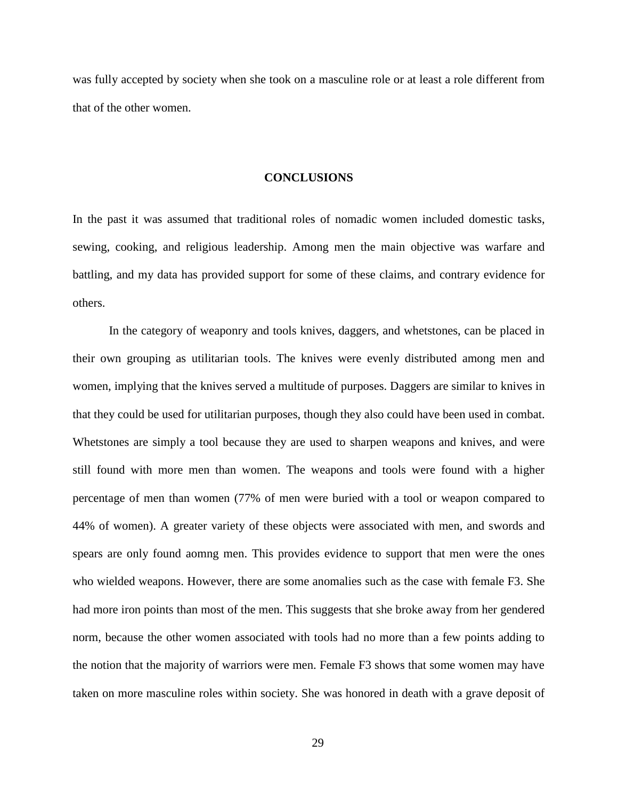was fully accepted by society when she took on a masculine role or at least a role different from that of the other women.

### **CONCLUSIONS**

In the past it was assumed that traditional roles of nomadic women included domestic tasks, sewing, cooking, and religious leadership. Among men the main objective was warfare and battling, and my data has provided support for some of these claims, and contrary evidence for others.

In the category of weaponry and tools knives, daggers, and whetstones, can be placed in their own grouping as utilitarian tools. The knives were evenly distributed among men and women, implying that the knives served a multitude of purposes. Daggers are similar to knives in that they could be used for utilitarian purposes, though they also could have been used in combat. Whetstones are simply a tool because they are used to sharpen weapons and knives, and were still found with more men than women. The weapons and tools were found with a higher percentage of men than women (77% of men were buried with a tool or weapon compared to 44% of women). A greater variety of these objects were associated with men, and swords and spears are only found aomng men. This provides evidence to support that men were the ones who wielded weapons. However, there are some anomalies such as the case with female F3. She had more iron points than most of the men. This suggests that she broke away from her gendered norm, because the other women associated with tools had no more than a few points adding to the notion that the majority of warriors were men. Female F3 shows that some women may have taken on more masculine roles within society. She was honored in death with a grave deposit of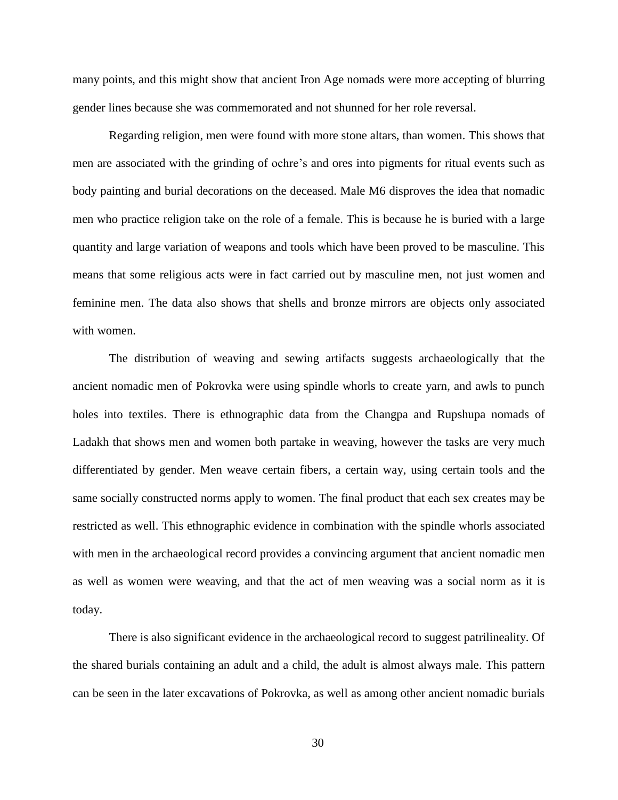many points, and this might show that ancient Iron Age nomads were more accepting of blurring gender lines because she was commemorated and not shunned for her role reversal.

Regarding religion, men were found with more stone altars, than women. This shows that men are associated with the grinding of ochre"s and ores into pigments for ritual events such as body painting and burial decorations on the deceased. Male M6 disproves the idea that nomadic men who practice religion take on the role of a female. This is because he is buried with a large quantity and large variation of weapons and tools which have been proved to be masculine. This means that some religious acts were in fact carried out by masculine men, not just women and feminine men. The data also shows that shells and bronze mirrors are objects only associated with women.

The distribution of weaving and sewing artifacts suggests archaeologically that the ancient nomadic men of Pokrovka were using spindle whorls to create yarn, and awls to punch holes into textiles. There is ethnographic data from the Changpa and Rupshupa nomads of Ladakh that shows men and women both partake in weaving, however the tasks are very much differentiated by gender. Men weave certain fibers, a certain way, using certain tools and the same socially constructed norms apply to women. The final product that each sex creates may be restricted as well. This ethnographic evidence in combination with the spindle whorls associated with men in the archaeological record provides a convincing argument that ancient nomadic men as well as women were weaving, and that the act of men weaving was a social norm as it is today.

There is also significant evidence in the archaeological record to suggest patrilineality. Of the shared burials containing an adult and a child, the adult is almost always male. This pattern can be seen in the later excavations of Pokrovka, as well as among other ancient nomadic burials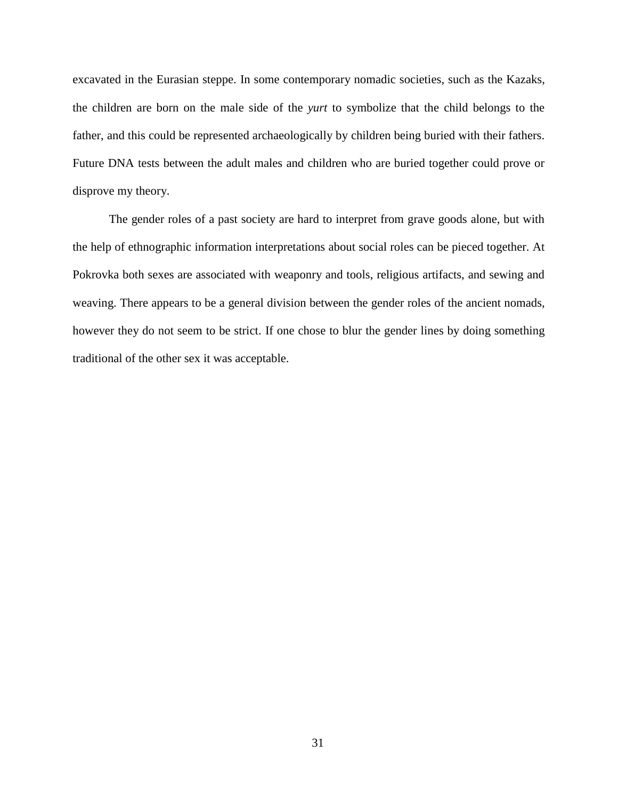excavated in the Eurasian steppe. In some contemporary nomadic societies, such as the Kazaks, the children are born on the male side of the *yurt* to symbolize that the child belongs to the father, and this could be represented archaeologically by children being buried with their fathers. Future DNA tests between the adult males and children who are buried together could prove or disprove my theory.

The gender roles of a past society are hard to interpret from grave goods alone, but with the help of ethnographic information interpretations about social roles can be pieced together. At Pokrovka both sexes are associated with weaponry and tools, religious artifacts, and sewing and weaving. There appears to be a general division between the gender roles of the ancient nomads, however they do not seem to be strict. If one chose to blur the gender lines by doing something traditional of the other sex it was acceptable.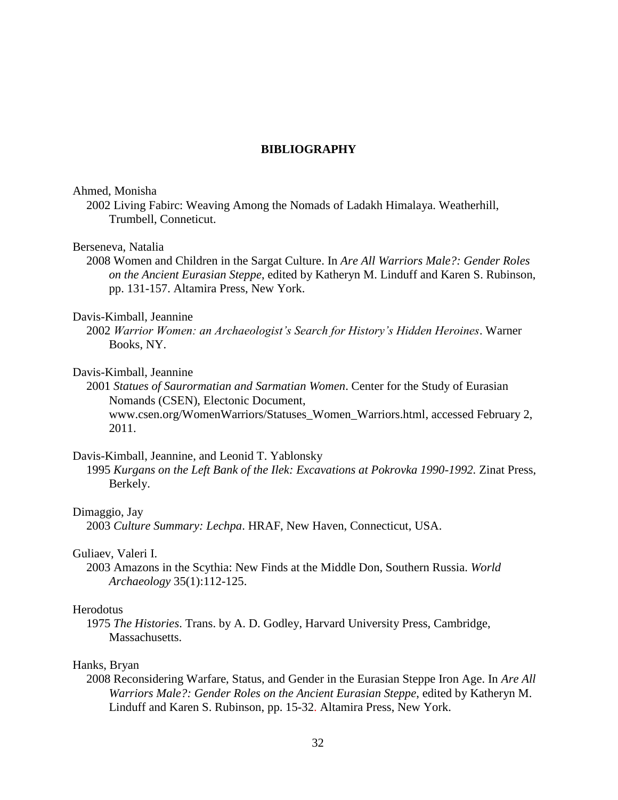### **BIBLIOGRAPHY**

### Ahmed, Monisha

2002 Living Fabirc: Weaving Among the Nomads of Ladakh Himalaya. Weatherhill, Trumbell, Conneticut.

### Berseneva, Natalia

2008 Women and Children in the Sargat Culture. In *Are All Warriors Male?: Gender Roles on the Ancient Eurasian Steppe*, edited by Katheryn M. Linduff and Karen S. Rubinson, pp. 131-157. Altamira Press, New York.

### Davis-Kimball, Jeannine

2002 *Warrior Women: an Archaeologist's Search for History's Hidden Heroines*. Warner Books, NY.

# Davis-Kimball, Jeannine

2001 *Statues of Saurormatian and Sarmatian Women*. Center for the Study of Eurasian Nomands (CSEN), Electonic Document, [www.csen.org/WomenWarriors/Statuses\\_Women\\_Warriors.html,](http://www.csen.org/WomenWarriors/Statuses_Women_Warriors.html) accessed February 2, 2011.

### Davis-Kimball, Jeannine, and Leonid T. Yablonsky

1995 *Kurgans on the Left Bank of the Ilek: Excavations at Pokrovka 1990-1992.* Zinat Press, Berkely.

#### Dimaggio, Jay

2003 *Culture Summary: Lechpa*. HRAF, New Haven, Connecticut, USA.

#### Guliaev, Valeri I.

2003 Amazons in the Scythia: New Finds at the Middle Don, Southern Russia. *World Archaeology* 35(1):112-125.

#### Herodotus

1975 *The Histories*. Trans. by A. D. Godley, Harvard University Press, Cambridge, Massachusetts.

#### Hanks, Bryan

2008 Reconsidering Warfare, Status, and Gender in the Eurasian Steppe Iron Age. In *Are All Warriors Male?: Gender Roles on the Ancient Eurasian Steppe*, edited by Katheryn M. Linduff and Karen S. Rubinson, pp. 15-32. Altamira Press, New York.